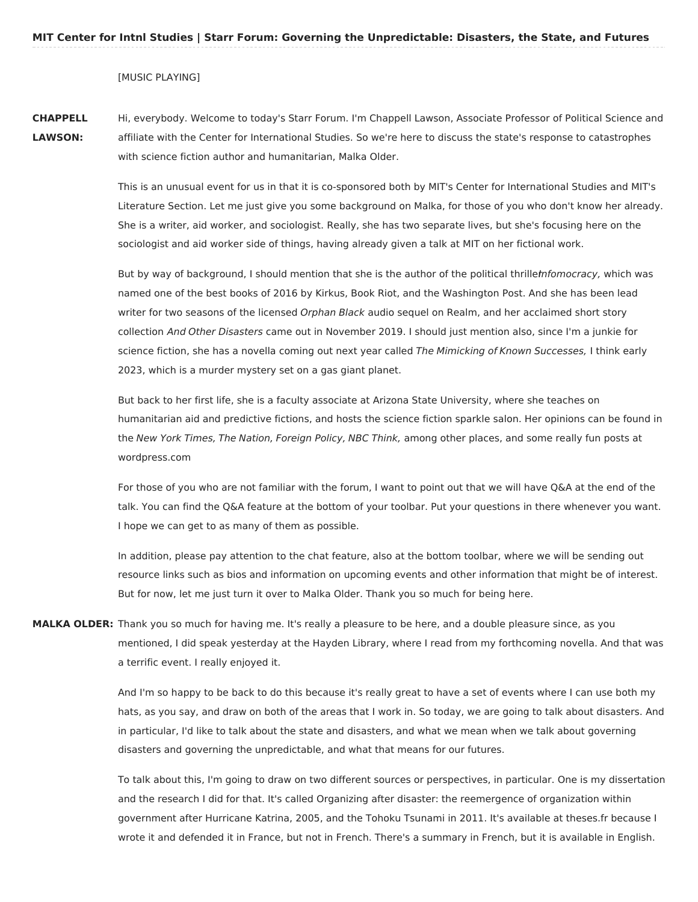[MUSIC PLAYING]

**CHAPPELL LAWSON:**

Hi, everybody. Welcome to today's Starr Forum. I'm Chappell Lawson, Associate Professor of Political Science and affiliate with the Center for International Studies. So we're here to discuss the state's response to catastrophes with science fiction author and humanitarian, Malka Older.

This is an unusual event for us in that it is co-sponsored both by MIT's Center for International Studies and MIT's Literature Section. Let me just give you some background on Malka, for those of you who don't know her already. She is a writer, aid worker, and sociologist. Really, she has two separate lives, but she's focusing here on the sociologist and aid worker side of things, having already given a talk at MIT on her fictional work.

But by way of background, I should mention that she is the author of the political thrilletnfomocracy, which was named one of the best books of 2016 by Kirkus, Book Riot, and the Washington Post. And she has been lead writer for two seasons of the licensed Orphan Black audio sequel on Realm, and her acclaimed short story collection And Other Disasters came out in November 2019. I should just mention also, since I'm a junkie for science fiction, she has a novella coming out next year called The Mimicking of Known Successes, I think early 2023, which is a murder mystery set on a gas giant planet.

But back to her first life, she is a faculty associate at Arizona State University, where she teaches on humanitarian aid and predictive fictions, and hosts the science fiction sparkle salon. Her opinions can be found in the New York Times, The Nation, Foreign Policy, NBC Think, among other places, and some really fun posts at wordpress.com

For those of you who are not familiar with the forum, I want to point out that we will have Q&A at the end of the talk. You can find the Q&A feature at the bottom of your toolbar. Put your questions in there whenever you want. I hope we can get to as many of them as possible.

In addition, please pay attention to the chat feature, also at the bottom toolbar, where we will be sending out resource links such as bios and information on upcoming events and other information that might be of interest. But for now, let me just turn it over to Malka Older. Thank you so much for being here.

**MALKA OLDER:** Thank you so much for having me. It's really a pleasure to be here, and a double pleasure since, as you mentioned, I did speak yesterday at the Hayden Library, where I read from my forthcoming novella. And that was a terrific event. I really enjoyed it.

> And I'm so happy to be back to do this because it's really great to have a set of events where I can use both my hats, as you say, and draw on both of the areas that I work in. So today, we are going to talk about disasters. And in particular, I'd like to talk about the state and disasters, and what we mean when we talk about governing disasters and governing the unpredictable, and what that means for our futures.

> To talk about this, I'm going to draw on two different sources or perspectives, in particular. One is my dissertation and the research I did for that. It's called Organizing after disaster: the reemergence of organization within government after Hurricane Katrina, 2005, and the Tohoku Tsunami in 2011. It's available at theses.fr because I wrote it and defended it in France, but not in French. There's a summary in French, but it is available in English.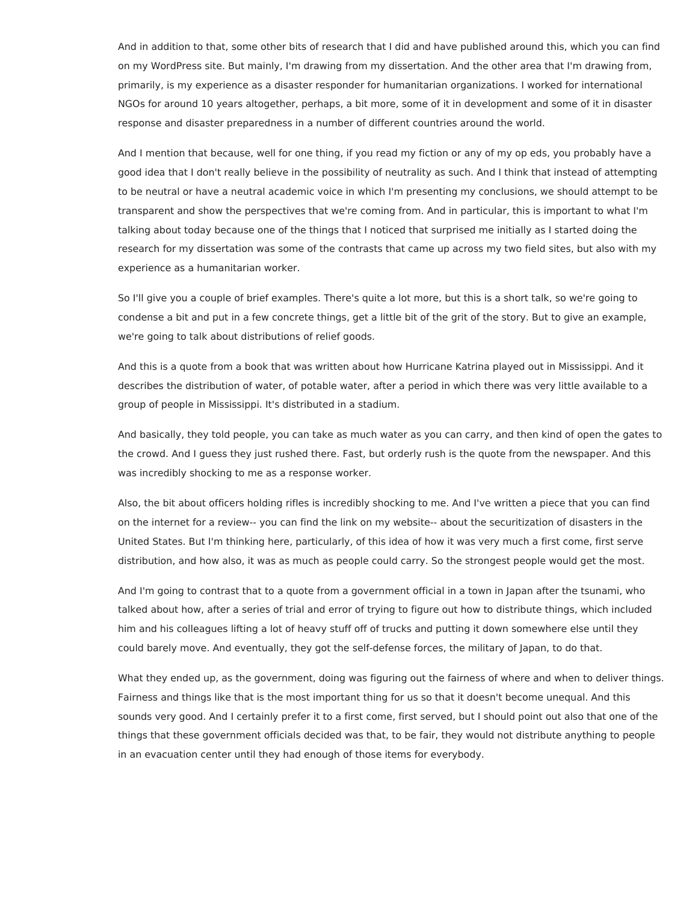And in addition to that, some other bits of research that I did and have published around this, which you can find on my WordPress site. But mainly, I'm drawing from my dissertation. And the other area that I'm drawing from, primarily, is my experience as a disaster responder for humanitarian organizations. I worked for international NGOs for around 10 years altogether, perhaps, a bit more, some of it in development and some of it in disaster response and disaster preparedness in a number of different countries around the world.

And I mention that because, well for one thing, if you read my fiction or any of my op eds, you probably have a good idea that I don't really believe in the possibility of neutrality as such. And I think that instead of attempting to be neutral or have a neutral academic voice in which I'm presenting my conclusions, we should attempt to be transparent and show the perspectives that we're coming from. And in particular, this is important to what I'm talking about today because one of the things that I noticed that surprised me initially as I started doing the research for my dissertation was some of the contrasts that came up across my two field sites, but also with my experience as a humanitarian worker.

So I'll give you a couple of brief examples. There's quite a lot more, but this is a short talk, so we're going to condense a bit and put in a few concrete things, get a little bit of the grit of the story. But to give an example, we're going to talk about distributions of relief goods.

And this is a quote from a book that was written about how Hurricane Katrina played out in Mississippi. And it describes the distribution of water, of potable water, after a period in which there was very little available to a group of people in Mississippi. It's distributed in a stadium.

And basically, they told people, you can take as much water as you can carry, and then kind of open the gates to the crowd. And I guess they just rushed there. Fast, but orderly rush is the quote from the newspaper. And this was incredibly shocking to me as a response worker.

Also, the bit about officers holding rifles is incredibly shocking to me. And I've written a piece that you can find on the internet for a review-- you can find the link on my website-- about the securitization of disasters in the United States. But I'm thinking here, particularly, of this idea of how it was very much a first come, first serve distribution, and how also, it was as much as people could carry. So the strongest people would get the most.

And I'm going to contrast that to a quote from a government official in a town in Japan after the tsunami, who talked about how, after a series of trial and error of trying to figure out how to distribute things, which included him and his colleagues lifting a lot of heavy stuff off of trucks and putting it down somewhere else until they could barely move. And eventually, they got the self-defense forces, the military of Japan, to do that.

What they ended up, as the government, doing was figuring out the fairness of where and when to deliver things. Fairness and things like that is the most important thing for us so that it doesn't become unequal. And this sounds very good. And I certainly prefer it to a first come, first served, but I should point out also that one of the things that these government officials decided was that, to be fair, they would not distribute anything to people in an evacuation center until they had enough of those items for everybody.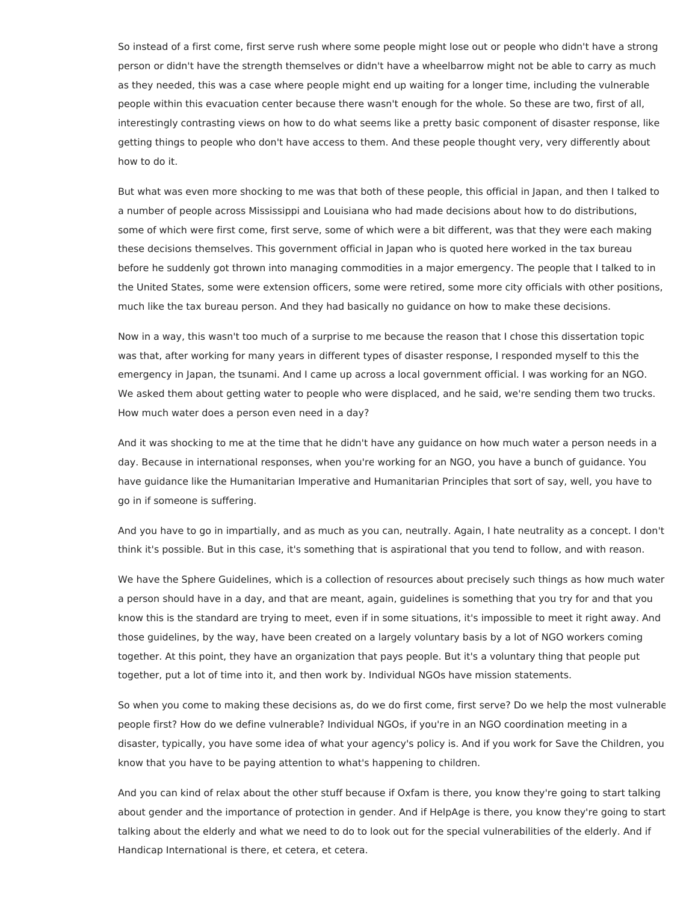So instead of a first come, first serve rush where some people might lose out or people who didn't have a strong person or didn't have the strength themselves or didn't have a wheelbarrow might not be able to carry as much as they needed, this was a case where people might end up waiting for a longer time, including the vulnerable people within this evacuation center because there wasn't enough for the whole. So these are two, first of all, interestingly contrasting views on how to do what seems like a pretty basic component of disaster response, like getting things to people who don't have access to them. And these people thought very, very differently about how to do it.

But what was even more shocking to me was that both of these people, this official in Japan, and then I talked to a number of people across Mississippi and Louisiana who had made decisions about how to do distributions, some of which were first come, first serve, some of which were a bit different, was that they were each making these decisions themselves. This government official in Japan who is quoted here worked in the tax bureau before he suddenly got thrown into managing commodities in a major emergency. The people that I talked to in the United States, some were extension officers, some were retired, some more city officials with other positions, much like the tax bureau person. And they had basically no guidance on how to make these decisions.

Now in a way, this wasn't too much of a surprise to me because the reason that I chose this dissertation topic was that, after working for many years in different types of disaster response, I responded myself to this the emergency in Japan, the tsunami. And I came up across a local government official. I was working for an NGO. We asked them about getting water to people who were displaced, and he said, we're sending them two trucks. How much water does a person even need in a day?

And it was shocking to me at the time that he didn't have any guidance on how much water a person needs in a day. Because in international responses, when you're working for an NGO, you have a bunch of guidance. You have guidance like the Humanitarian Imperative and Humanitarian Principles that sort of say, well, you have to go in if someone is suffering.

And you have to go in impartially, and as much as you can, neutrally. Again, I hate neutrality as a concept. I don't think it's possible. But in this case, it's something that is aspirational that you tend to follow, and with reason.

We have the Sphere Guidelines, which is a collection of resources about precisely such things as how much water a person should have in a day, and that are meant, again, guidelines is something that you try for and that you know this is the standard are trying to meet, even if in some situations, it's impossible to meet it right away. And those guidelines, by the way, have been created on a largely voluntary basis by a lot of NGO workers coming together. At this point, they have an organization that pays people. But it's a voluntary thing that people put together, put a lot of time into it, and then work by. Individual NGOs have mission statements.

So when you come to making these decisions as, do we do first come, first serve? Do we help the most vulnerable people first? How do we define vulnerable? Individual NGOs, if you're in an NGO coordination meeting in a disaster, typically, you have some idea of what your agency's policy is. And if you work for Save the Children, you know that you have to be paying attention to what's happening to children.

And you can kind of relax about the other stuff because if Oxfam is there, you know they're going to start talking about gender and the importance of protection in gender. And if HelpAge is there, you know they're going to start talking about the elderly and what we need to do to look out for the special vulnerabilities of the elderly. And if Handicap International is there, et cetera, et cetera.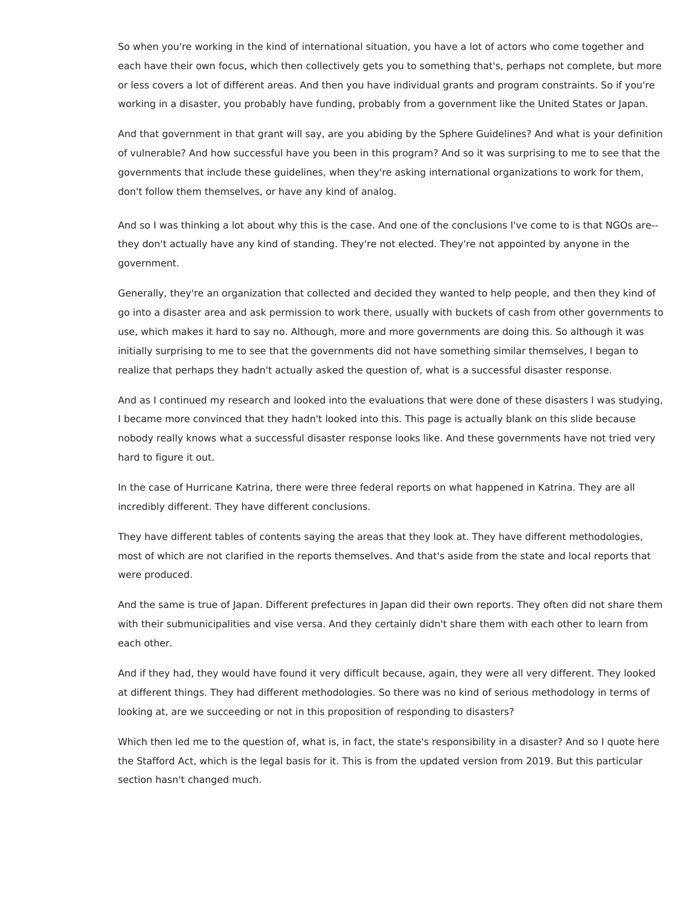So when you're working in the kind of international situation, you have a lot of actors who come together and each have their own focus, which then collectively gets you to something that's, perhaps not complete, but more or less covers a lot of different areas. And then you have individual grants and program constraints. So if you're working in a disaster, you probably have funding, probably from a government like the United States or Japan.

And that government in that grant will say, are you abiding by the Sphere Guidelines? And what is your definition of vulnerable? And how successful have you been in this program? And so it was surprising to me to see that the governments that include these guidelines, when they're asking international organizations to work for them, don't follow them themselves, or have any kind of analog.

And so I was thinking a lot about why this is the case. And one of the conclusions I've come to is that NGOs are- they don't actually have any kind of standing. They're not elected. They're not appointed by anyone in the government.

Generally, they're an organization that collected and decided they wanted to help people, and then they kind of go into a disaster area and ask permission to work there, usually with buckets of cash from other governments to use, which makes it hard to say no. Although, more and more governments are doing this. So although it was initially surprising to me to see that the governments did not have something similar themselves, I began to realize that perhaps they hadn't actually asked the question of, what is a successful disaster response.

And as I continued my research and looked into the evaluations that were done of these disasters I was studying, I became more convinced that they hadn't looked into this. This page is actually blank on this slide because nobody really knows what a successful disaster response looks like. And these governments have not tried very hard to figure it out.

In the case of Hurricane Katrina, there were three federal reports on what happened in Katrina. They are all incredibly different. They have different conclusions.

They have different tables of contents saying the areas that they look at. They have different methodologies, most of which are not clarified in the reports themselves. And that's aside from the state and local reports that were produced.

And the same is true of Japan. Different prefectures in Japan did their own reports. They often did not share them with their submunicipalities and vise versa. And they certainly didn't share them with each other to learn from each other.

And if they had, they would have found it very difficult because, again, they were all very different. They looked at different things. They had different methodologies. So there was no kind of serious methodology in terms of looking at, are we succeeding or not in this proposition of responding to disasters?

Which then led me to the question of, what is, in fact, the state's responsibility in a disaster? And so I quote here the Stafford Act, which is the legal basis for it. This is from the updated version from 2019. But this particular section hasn't changed much.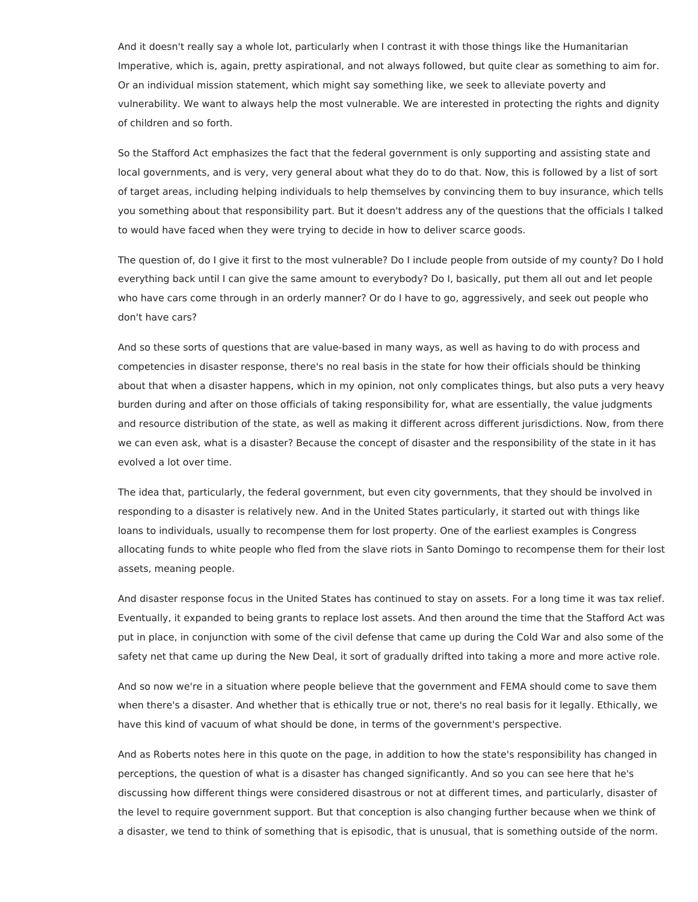And it doesn't really say a whole lot, particularly when I contrast it with those things like the Humanitarian Imperative, which is, again, pretty aspirational, and not always followed, but quite clear as something to aim for. Or an individual mission statement, which might say something like, we seek to alleviate poverty and vulnerability. We want to always help the most vulnerable. We are interested in protecting the rights and dignity of children and so forth.

So the Stafford Act emphasizes the fact that the federal government is only supporting and assisting state and local governments, and is very, very general about what they do to do that. Now, this is followed by a list of sort of target areas, including helping individuals to help themselves by convincing them to buy insurance, which tells you something about that responsibility part. But it doesn't address any of the questions that the officials I talked to would have faced when they were trying to decide in how to deliver scarce goods.

The question of, do I give it first to the most vulnerable? Do I include people from outside of my county? Do I hold everything back until I can give the same amount to everybody? Do I, basically, put them all out and let people who have cars come through in an orderly manner? Or do I have to go, aggressively, and seek out people who don't have cars?

And so these sorts of questions that are value-based in many ways, as well as having to do with process and competencies in disaster response, there's no real basis in the state for how their officials should be thinking about that when a disaster happens, which in my opinion, not only complicates things, but also puts a very heavy burden during and after on those officials of taking responsibility for, what are essentially, the value judgments and resource distribution of the state, as well as making it different across different jurisdictions. Now, from there we can even ask, what is a disaster? Because the concept of disaster and the responsibility of the state in it has evolved a lot over time.

The idea that, particularly, the federal government, but even city governments, that they should be involved in responding to a disaster is relatively new. And in the United States particularly, it started out with things like loans to individuals, usually to recompense them for lost property. One of the earliest examples is Congress allocating funds to white people who fled from the slave riots in Santo Domingo to recompense them for their lost assets, meaning people.

And disaster response focus in the United States has continued to stay on assets. For a long time it was tax relief. Eventually, it expanded to being grants to replace lost assets. And then around the time that the Stafford Act was put in place, in conjunction with some of the civil defense that came up during the Cold War and also some of the safety net that came up during the New Deal, it sort of gradually drifted into taking a more and more active role.

And so now we're in a situation where people believe that the government and FEMA should come to save them when there's a disaster. And whether that is ethically true or not, there's no real basis for it legally. Ethically, we have this kind of vacuum of what should be done, in terms of the government's perspective.

And as Roberts notes here in this quote on the page, in addition to how the state's responsibility has changed in perceptions, the question of what is a disaster has changed significantly. And so you can see here that he's discussing how different things were considered disastrous or not at different times, and particularly, disaster of the level to require government support. But that conception is also changing further because when we think of a disaster, we tend to think of something that is episodic, that is unusual, that is something outside of the norm.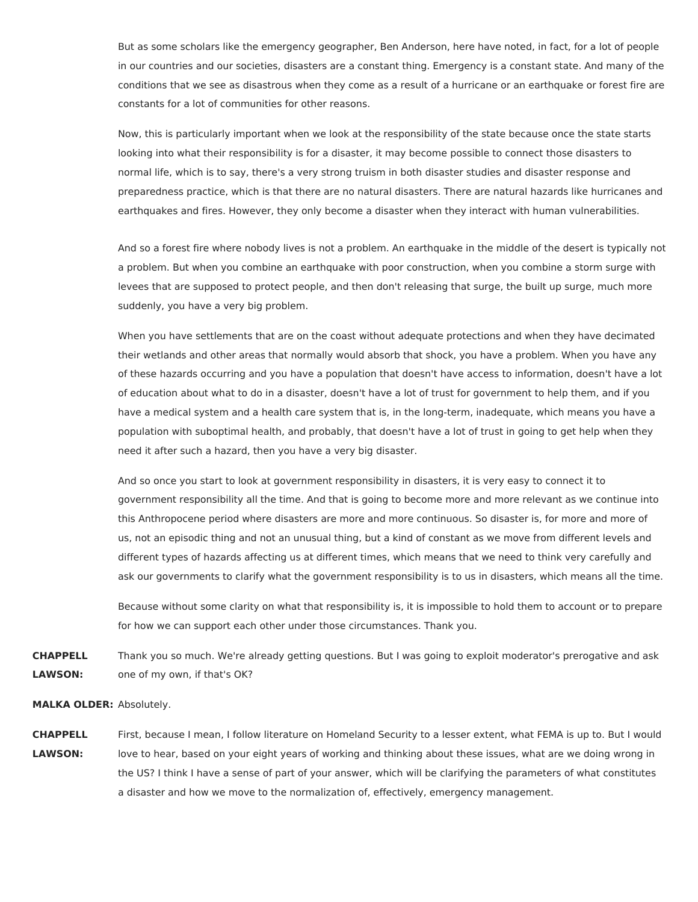But as some scholars like the emergency geographer, Ben Anderson, here have noted, in fact, for a lot of people in our countries and our societies, disasters are a constant thing. Emergency is a constant state. And many of the conditions that we see as disastrous when they come as a result of a hurricane or an earthquake or forest fire are constants for a lot of communities for other reasons.

Now, this is particularly important when we look at the responsibility of the state because once the state starts looking into what their responsibility is for a disaster, it may become possible to connect those disasters to normal life, which is to say, there's a very strong truism in both disaster studies and disaster response and preparedness practice, which is that there are no natural disasters. There are natural hazards like hurricanes and earthquakes and fires. However, they only become a disaster when they interact with human vulnerabilities.

And so a forest fire where nobody lives is not a problem. An earthquake in the middle of the desert is typically not a problem. But when you combine an earthquake with poor construction, when you combine a storm surge with levees that are supposed to protect people, and then don't releasing that surge, the built up surge, much more suddenly, you have a very big problem.

When you have settlements that are on the coast without adequate protections and when they have decimated their wetlands and other areas that normally would absorb that shock, you have a problem. When you have any of these hazards occurring and you have a population that doesn't have access to information, doesn't have a lot of education about what to do in a disaster, doesn't have a lot of trust for government to help them, and if you have a medical system and a health care system that is, in the long-term, inadequate, which means you have a population with suboptimal health, and probably, that doesn't have a lot of trust in going to get help when they need it after such a hazard, then you have a very big disaster.

And so once you start to look at government responsibility in disasters, it is very easy to connect it to government responsibility all the time. And that is going to become more and more relevant as we continue into this Anthropocene period where disasters are more and more continuous. So disaster is, for more and more of us, not an episodic thing and not an unusual thing, but a kind of constant as we move from different levels and different types of hazards affecting us at different times, which means that we need to think very carefully and ask our governments to clarify what the government responsibility is to us in disasters, which means all the time.

Because without some clarity on what that responsibility is, it is impossible to hold them to account or to prepare for how we can support each other under those circumstances. Thank you.

**CHAPPELL LAWSON:** Thank you so much. We're already getting questions. But I was going to exploit moderator's prerogative and ask one of my own, if that's OK?

## **MALKA OLDER:** Absolutely.

**CHAPPELL LAWSON:** First, because I mean, I follow literature on Homeland Security to a lesser extent, what FEMA is up to. But I would love to hear, based on your eight years of working and thinking about these issues, what are we doing wrong in the US? I think I have a sense of part of your answer, which will be clarifying the parameters of what constitutes a disaster and how we move to the normalization of, effectively, emergency management.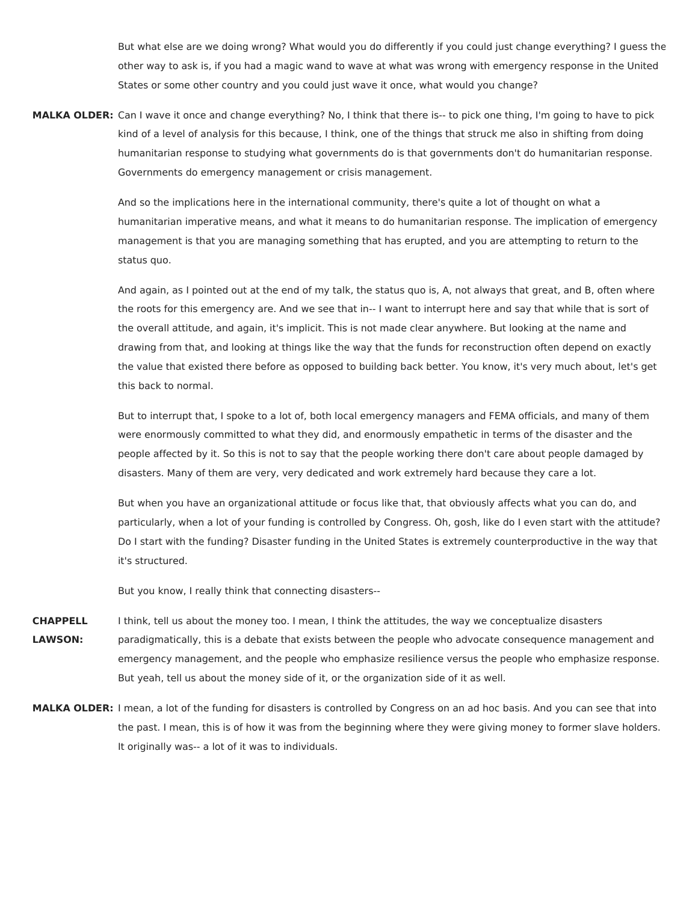But what else are we doing wrong? What would you do differently if you could just change everything? I guess the other way to ask is, if you had a magic wand to wave at what was wrong with emergency response in the United States or some other country and you could just wave it once, what would you change?

**MALKA OLDER:** Can I wave it once and change everything? No, I think that there is-- to pick one thing, I'm going to have to pick kind of a level of analysis for this because, I think, one of the things that struck me also in shifting from doing humanitarian response to studying what governments do is that governments don't do humanitarian response. Governments do emergency management or crisis management.

> And so the implications here in the international community, there's quite a lot of thought on what a humanitarian imperative means, and what it means to do humanitarian response. The implication of emergency management is that you are managing something that has erupted, and you are attempting to return to the status quo.

> And again, as I pointed out at the end of my talk, the status quo is, A, not always that great, and B, often where the roots for this emergency are. And we see that in-- I want to interrupt here and say that while that is sort of the overall attitude, and again, it's implicit. This is not made clear anywhere. But looking at the name and drawing from that, and looking at things like the way that the funds for reconstruction often depend on exactly the value that existed there before as opposed to building back better. You know, it's very much about, let's get this back to normal.

But to interrupt that, I spoke to a lot of, both local emergency managers and FEMA officials, and many of them were enormously committed to what they did, and enormously empathetic in terms of the disaster and the people affected by it. So this is not to say that the people working there don't care about people damaged by disasters. Many of them are very, very dedicated and work extremely hard because they care a lot.

But when you have an organizational attitude or focus like that, that obviously affects what you can do, and particularly, when a lot of your funding is controlled by Congress. Oh, gosh, like do I even start with the attitude? Do I start with the funding? Disaster funding in the United States is extremely counterproductive in the way that it's structured.

But you know, I really think that connecting disasters--

- **CHAPPELL LAWSON:** I think, tell us about the money too. I mean, I think the attitudes, the way we conceptualize disasters paradigmatically, this is a debate that exists between the people who advocate consequence management and emergency management, and the people who emphasize resilience versus the people who emphasize response. But yeah, tell us about the money side of it, or the organization side of it as well.
- **MALKA OLDER:** I mean, a lot of the funding for disasters is controlled by Congress on an ad hoc basis. And you can see that into the past. I mean, this is of how it was from the beginning where they were giving money to former slave holders. It originally was-- a lot of it was to individuals.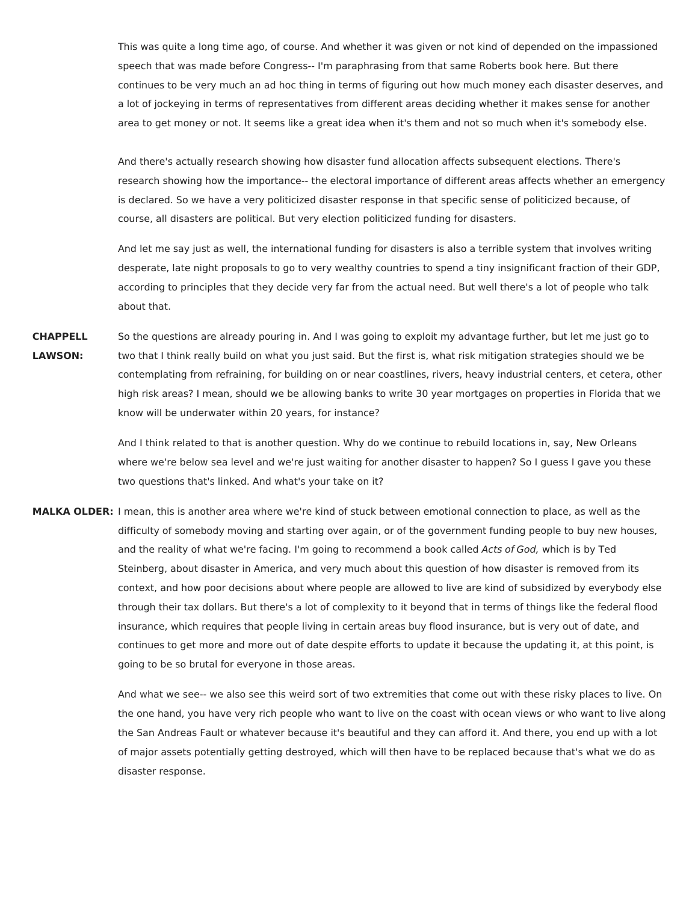This was quite a long time ago, of course. And whether it was given or not kind of depended on the impassioned speech that was made before Congress-- I'm paraphrasing from that same Roberts book here. But there continues to be very much an ad hoc thing in terms of figuring out how much money each disaster deserves, and a lot of jockeying in terms of representatives from different areas deciding whether it makes sense for another area to get money or not. It seems like a great idea when it's them and not so much when it's somebody else.

And there's actually research showing how disaster fund allocation affects subsequent elections. There's research showing how the importance-- the electoral importance of different areas affects whether an emergency is declared. So we have a very politicized disaster response in that specific sense of politicized because, of course, all disasters are political. But very election politicized funding for disasters.

And let me say just as well, the international funding for disasters is also a terrible system that involves writing desperate, late night proposals to go to very wealthy countries to spend a tiny insignificant fraction of their GDP, according to principles that they decide very far from the actual need. But well there's a lot of people who talk about that.

**CHAPPELL LAWSON:** So the questions are already pouring in. And I was going to exploit my advantage further, but let me just go to two that I think really build on what you just said. But the first is, what risk mitigation strategies should we be contemplating from refraining, for building on or near coastlines, rivers, heavy industrial centers, et cetera, other high risk areas? I mean, should we be allowing banks to write 30 year mortgages on properties in Florida that we know will be underwater within 20 years, for instance?

> And I think related to that is another question. Why do we continue to rebuild locations in, say, New Orleans where we're below sea level and we're just waiting for another disaster to happen? So I guess I gave you these two questions that's linked. And what's your take on it?

**MALKA OLDER:** I mean, this is another area where we're kind of stuck between emotional connection to place, as well as the difficulty of somebody moving and starting over again, or of the government funding people to buy new houses, and the reality of what we're facing. I'm going to recommend a book called Acts of God, which is by Ted Steinberg, about disaster in America, and very much about this question of how disaster is removed from its context, and how poor decisions about where people are allowed to live are kind of subsidized by everybody else through their tax dollars. But there's a lot of complexity to it beyond that in terms of things like the federal flood insurance, which requires that people living in certain areas buy flood insurance, but is very out of date, and continues to get more and more out of date despite efforts to update it because the updating it, at this point, is going to be so brutal for everyone in those areas.

> And what we see-- we also see this weird sort of two extremities that come out with these risky places to live. On the one hand, you have very rich people who want to live on the coast with ocean views or who want to live along the San Andreas Fault or whatever because it's beautiful and they can afford it. And there, you end up with a lot of major assets potentially getting destroyed, which will then have to be replaced because that's what we do as disaster response.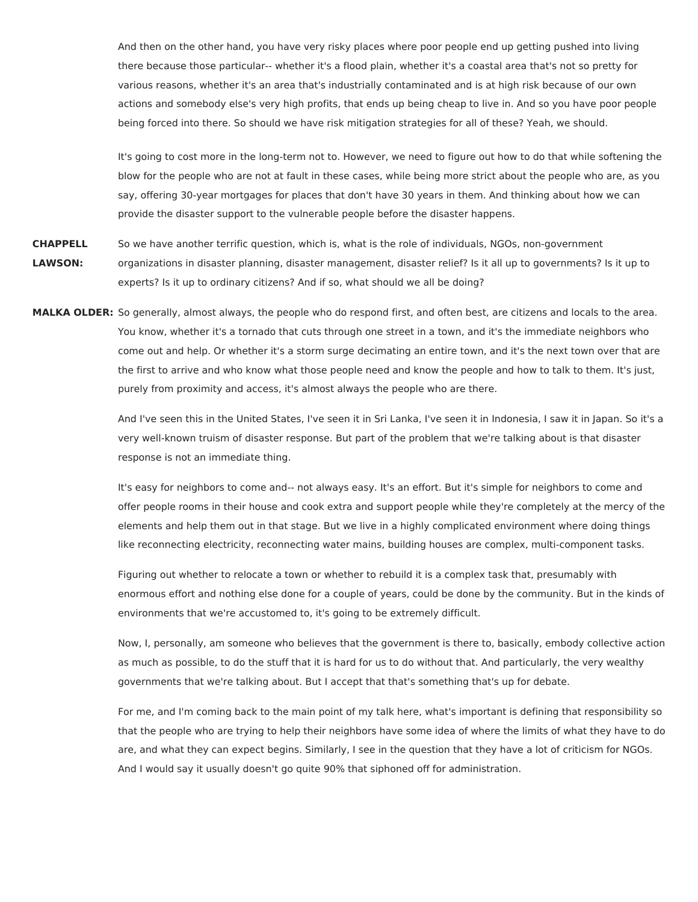And then on the other hand, you have very risky places where poor people end up getting pushed into living there because those particular-- whether it's a flood plain, whether it's a coastal area that's not so pretty for various reasons, whether it's an area that's industrially contaminated and is at high risk because of our own actions and somebody else's very high profits, that ends up being cheap to live in. And so you have poor people being forced into there. So should we have risk mitigation strategies for all of these? Yeah, we should.

It's going to cost more in the long-term not to. However, we need to figure out how to do that while softening the blow for the people who are not at fault in these cases, while being more strict about the people who are, as you say, offering 30-year mortgages for places that don't have 30 years in them. And thinking about how we can provide the disaster support to the vulnerable people before the disaster happens.

- **CHAPPELL LAWSON:** So we have another terrific question, which is, what is the role of individuals, NGOs, non-government organizations in disaster planning, disaster management, disaster relief? Is it all up to governments? Is it up to experts? Is it up to ordinary citizens? And if so, what should we all be doing?
- **MALKA OLDER:** So generally, almost always, the people who do respond first, and often best, are citizens and locals to the area. You know, whether it's a tornado that cuts through one street in a town, and it's the immediate neighbors who come out and help. Or whether it's a storm surge decimating an entire town, and it's the next town over that are the first to arrive and who know what those people need and know the people and how to talk to them. It's just, purely from proximity and access, it's almost always the people who are there.

And I've seen this in the United States, I've seen it in Sri Lanka, I've seen it in Indonesia, I saw it in Japan. So it's a very well-known truism of disaster response. But part of the problem that we're talking about is that disaster response is not an immediate thing.

It's easy for neighbors to come and-- not always easy. It's an effort. But it's simple for neighbors to come and offer people rooms in their house and cook extra and support people while they're completely at the mercy of the elements and help them out in that stage. But we live in a highly complicated environment where doing things like reconnecting electricity, reconnecting water mains, building houses are complex, multi-component tasks.

Figuring out whether to relocate a town or whether to rebuild it is a complex task that, presumably with enormous effort and nothing else done for a couple of years, could be done by the community. But in the kinds of environments that we're accustomed to, it's going to be extremely difficult.

Now, I, personally, am someone who believes that the government is there to, basically, embody collective action as much as possible, to do the stuff that it is hard for us to do without that. And particularly, the very wealthy governments that we're talking about. But I accept that that's something that's up for debate.

For me, and I'm coming back to the main point of my talk here, what's important is defining that responsibility so that the people who are trying to help their neighbors have some idea of where the limits of what they have to do are, and what they can expect begins. Similarly, I see in the question that they have a lot of criticism for NGOs. And I would say it usually doesn't go quite 90% that siphoned off for administration.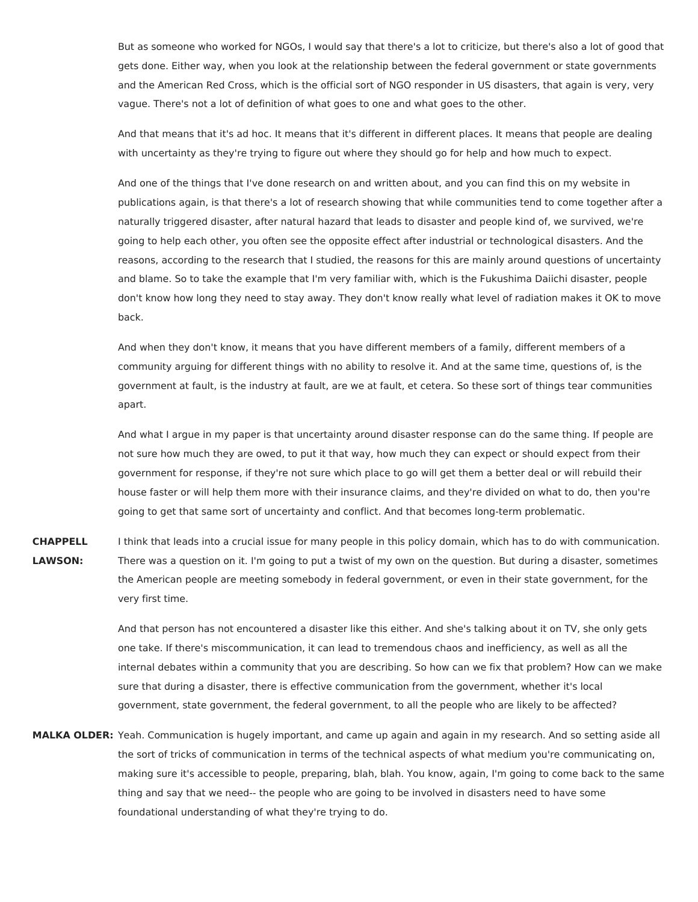But as someone who worked for NGOs, I would say that there's a lot to criticize, but there's also a lot of good that gets done. Either way, when you look at the relationship between the federal government or state governments and the American Red Cross, which is the official sort of NGO responder in US disasters, that again is very, very vague. There's not a lot of definition of what goes to one and what goes to the other.

And that means that it's ad hoc. It means that it's different in different places. It means that people are dealing with uncertainty as they're trying to figure out where they should go for help and how much to expect.

And one of the things that I've done research on and written about, and you can find this on my website in publications again, is that there's a lot of research showing that while communities tend to come together after a naturally triggered disaster, after natural hazard that leads to disaster and people kind of, we survived, we're going to help each other, you often see the opposite effect after industrial or technological disasters. And the reasons, according to the research that I studied, the reasons for this are mainly around questions of uncertainty and blame. So to take the example that I'm very familiar with, which is the Fukushima Daiichi disaster, people don't know how long they need to stay away. They don't know really what level of radiation makes it OK to move back.

And when they don't know, it means that you have different members of a family, different members of a community arguing for different things with no ability to resolve it. And at the same time, questions of, is the government at fault, is the industry at fault, are we at fault, et cetera. So these sort of things tear communities apart.

And what I argue in my paper is that uncertainty around disaster response can do the same thing. If people are not sure how much they are owed, to put it that way, how much they can expect or should expect from their government for response, if they're not sure which place to go will get them a better deal or will rebuild their house faster or will help them more with their insurance claims, and they're divided on what to do, then you're going to get that same sort of uncertainty and conflict. And that becomes long-term problematic.

**CHAPPELL LAWSON:** I think that leads into a crucial issue for many people in this policy domain, which has to do with communication. There was a question on it. I'm going to put a twist of my own on the question. But during a disaster, sometimes the American people are meeting somebody in federal government, or even in their state government, for the very first time.

> And that person has not encountered a disaster like this either. And she's talking about it on TV, she only gets one take. If there's miscommunication, it can lead to tremendous chaos and inefficiency, as well as all the internal debates within a community that you are describing. So how can we fix that problem? How can we make sure that during a disaster, there is effective communication from the government, whether it's local government, state government, the federal government, to all the people who are likely to be affected?

**MALKA OLDER:** Yeah. Communication is hugely important, and came up again and again in my research. And so setting aside all the sort of tricks of communication in terms of the technical aspects of what medium you're communicating on, making sure it's accessible to people, preparing, blah, blah. You know, again, I'm going to come back to the same thing and say that we need-- the people who are going to be involved in disasters need to have some foundational understanding of what they're trying to do.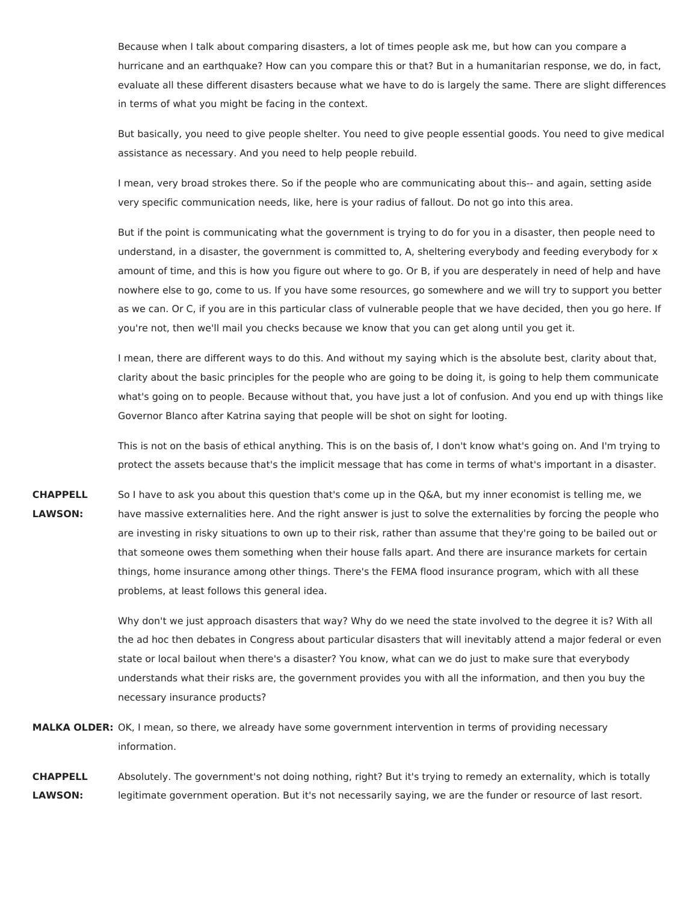Because when I talk about comparing disasters, a lot of times people ask me, but how can you compare a hurricane and an earthquake? How can you compare this or that? But in a humanitarian response, we do, in fact, evaluate all these different disasters because what we have to do is largely the same. There are slight differences in terms of what you might be facing in the context.

But basically, you need to give people shelter. You need to give people essential goods. You need to give medical assistance as necessary. And you need to help people rebuild.

I mean, very broad strokes there. So if the people who are communicating about this-- and again, setting aside very specific communication needs, like, here is your radius of fallout. Do not go into this area.

But if the point is communicating what the government is trying to do for you in a disaster, then people need to understand, in a disaster, the government is committed to, A, sheltering everybody and feeding everybody for x amount of time, and this is how you figure out where to go. Or B, if you are desperately in need of help and have nowhere else to go, come to us. If you have some resources, go somewhere and we will try to support you better as we can. Or C, if you are in this particular class of vulnerable people that we have decided, then you go here. If you're not, then we'll mail you checks because we know that you can get along until you get it.

I mean, there are different ways to do this. And without my saying which is the absolute best, clarity about that, clarity about the basic principles for the people who are going to be doing it, is going to help them communicate what's going on to people. Because without that, you have just a lot of confusion. And you end up with things like Governor Blanco after Katrina saying that people will be shot on sight for looting.

This is not on the basis of ethical anything. This is on the basis of, I don't know what's going on. And I'm trying to protect the assets because that's the implicit message that has come in terms of what's important in a disaster.

**CHAPPELL LAWSON:** So I have to ask you about this question that's come up in the Q&A, but my inner economist is telling me, we have massive externalities here. And the right answer is just to solve the externalities by forcing the people who are investing in risky situations to own up to their risk, rather than assume that they're going to be bailed out or that someone owes them something when their house falls apart. And there are insurance markets for certain things, home insurance among other things. There's the FEMA flood insurance program, which with all these problems, at least follows this general idea.

> Why don't we just approach disasters that way? Why do we need the state involved to the degree it is? With all the ad hoc then debates in Congress about particular disasters that will inevitably attend a major federal or even state or local bailout when there's a disaster? You know, what can we do just to make sure that everybody understands what their risks are, the government provides you with all the information, and then you buy the necessary insurance products?

**MALKA OLDER:** OK, I mean, so there, we already have some government intervention in terms of providing necessary information.

**CHAPPELL LAWSON:** Absolutely. The government's not doing nothing, right? But it's trying to remedy an externality, which is totally legitimate government operation. But it's not necessarily saying, we are the funder or resource of last resort.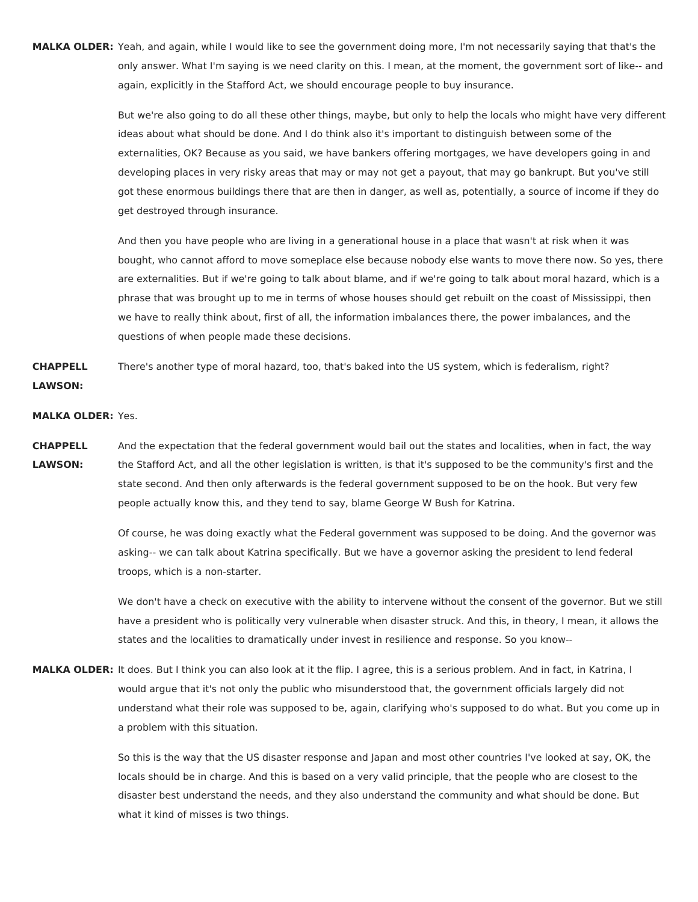**MALKA OLDER:** Yeah, and again, while I would like to see the government doing more, I'm not necessarily saying that that's the only answer. What I'm saying is we need clarity on this. I mean, at the moment, the government sort of like-- and again, explicitly in the Stafford Act, we should encourage people to buy insurance.

> But we're also going to do all these other things, maybe, but only to help the locals who might have very different ideas about what should be done. And I do think also it's important to distinguish between some of the externalities, OK? Because as you said, we have bankers offering mortgages, we have developers going in and developing places in very risky areas that may or may not get a payout, that may go bankrupt. But you've still got these enormous buildings there that are then in danger, as well as, potentially, a source of income if they do get destroyed through insurance.

> And then you have people who are living in a generational house in a place that wasn't at risk when it was bought, who cannot afford to move someplace else because nobody else wants to move there now. So yes, there are externalities. But if we're going to talk about blame, and if we're going to talk about moral hazard, which is a phrase that was brought up to me in terms of whose houses should get rebuilt on the coast of Mississippi, then we have to really think about, first of all, the information imbalances there, the power imbalances, and the questions of when people made these decisions.

**CHAPPELL LAWSON:** There's another type of moral hazard, too, that's baked into the US system, which is federalism, right?

## **MALKA OLDER:** Yes.

**CHAPPELL LAWSON:** And the expectation that the federal government would bail out the states and localities, when in fact, the way the Stafford Act, and all the other legislation is written, is that it's supposed to be the community's first and the state second. And then only afterwards is the federal government supposed to be on the hook. But very few people actually know this, and they tend to say, blame George W Bush for Katrina.

> Of course, he was doing exactly what the Federal government was supposed to be doing. And the governor was asking-- we can talk about Katrina specifically. But we have a governor asking the president to lend federal troops, which is a non-starter.

We don't have a check on executive with the ability to intervene without the consent of the governor. But we still have a president who is politically very vulnerable when disaster struck. And this, in theory, I mean, it allows the states and the localities to dramatically under invest in resilience and response. So you know--

**MALKA OLDER:** It does. But I think you can also look at it the flip. I agree, this is a serious problem. And in fact, in Katrina, I would argue that it's not only the public who misunderstood that, the government officials largely did not understand what their role was supposed to be, again, clarifying who's supposed to do what. But you come up in a problem with this situation.

> So this is the way that the US disaster response and Japan and most other countries I've looked at say, OK, the locals should be in charge. And this is based on a very valid principle, that the people who are closest to the disaster best understand the needs, and they also understand the community and what should be done. But what it kind of misses is two things.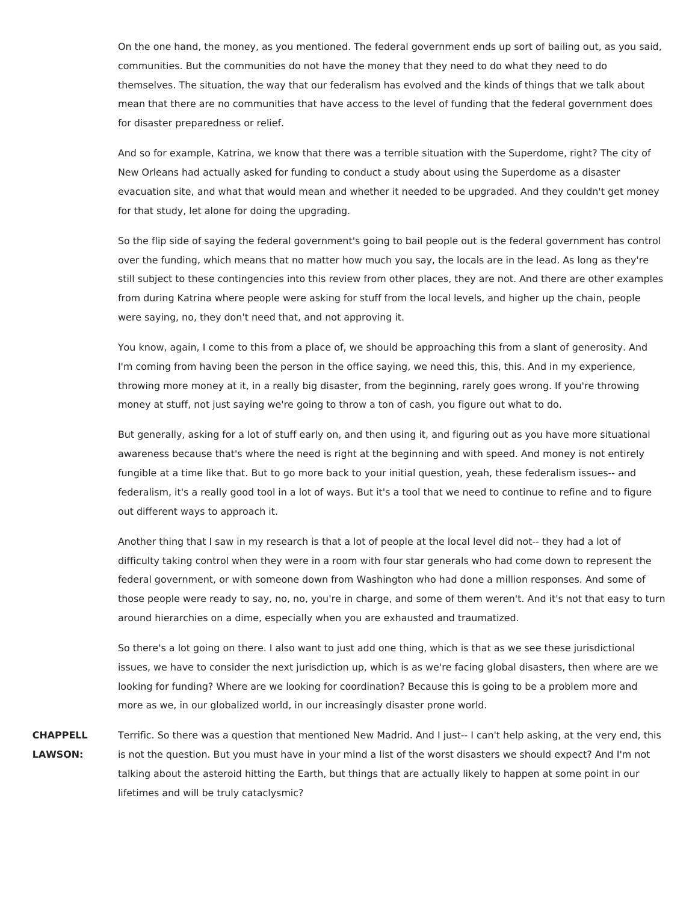On the one hand, the money, as you mentioned. The federal government ends up sort of bailing out, as you said, communities. But the communities do not have the money that they need to do what they need to do themselves. The situation, the way that our federalism has evolved and the kinds of things that we talk about mean that there are no communities that have access to the level of funding that the federal government does for disaster preparedness or relief.

And so for example, Katrina, we know that there was a terrible situation with the Superdome, right? The city of New Orleans had actually asked for funding to conduct a study about using the Superdome as a disaster evacuation site, and what that would mean and whether it needed to be upgraded. And they couldn't get money for that study, let alone for doing the upgrading.

So the flip side of saying the federal government's going to bail people out is the federal government has control over the funding, which means that no matter how much you say, the locals are in the lead. As long as they're still subject to these contingencies into this review from other places, they are not. And there are other examples from during Katrina where people were asking for stuff from the local levels, and higher up the chain, people were saying, no, they don't need that, and not approving it.

You know, again, I come to this from a place of, we should be approaching this from a slant of generosity. And I'm coming from having been the person in the office saying, we need this, this, this. And in my experience, throwing more money at it, in a really big disaster, from the beginning, rarely goes wrong. If you're throwing money at stuff, not just saying we're going to throw a ton of cash, you figure out what to do.

But generally, asking for a lot of stuff early on, and then using it, and figuring out as you have more situational awareness because that's where the need is right at the beginning and with speed. And money is not entirely fungible at a time like that. But to go more back to your initial question, yeah, these federalism issues-- and federalism, it's a really good tool in a lot of ways. But it's a tool that we need to continue to refine and to figure out different ways to approach it.

Another thing that I saw in my research is that a lot of people at the local level did not-- they had a lot of difficulty taking control when they were in a room with four star generals who had come down to represent the federal government, or with someone down from Washington who had done a million responses. And some of those people were ready to say, no, no, you're in charge, and some of them weren't. And it's not that easy to turn around hierarchies on a dime, especially when you are exhausted and traumatized.

So there's a lot going on there. I also want to just add one thing, which is that as we see these jurisdictional issues, we have to consider the next jurisdiction up, which is as we're facing global disasters, then where are we looking for funding? Where are we looking for coordination? Because this is going to be a problem more and more as we, in our globalized world, in our increasingly disaster prone world.

**CHAPPELL LAWSON:** Terrific. So there was a question that mentioned New Madrid. And I just-- I can't help asking, at the very end, this is not the question. But you must have in your mind a list of the worst disasters we should expect? And I'm not talking about the asteroid hitting the Earth, but things that are actually likely to happen at some point in our lifetimes and will be truly cataclysmic?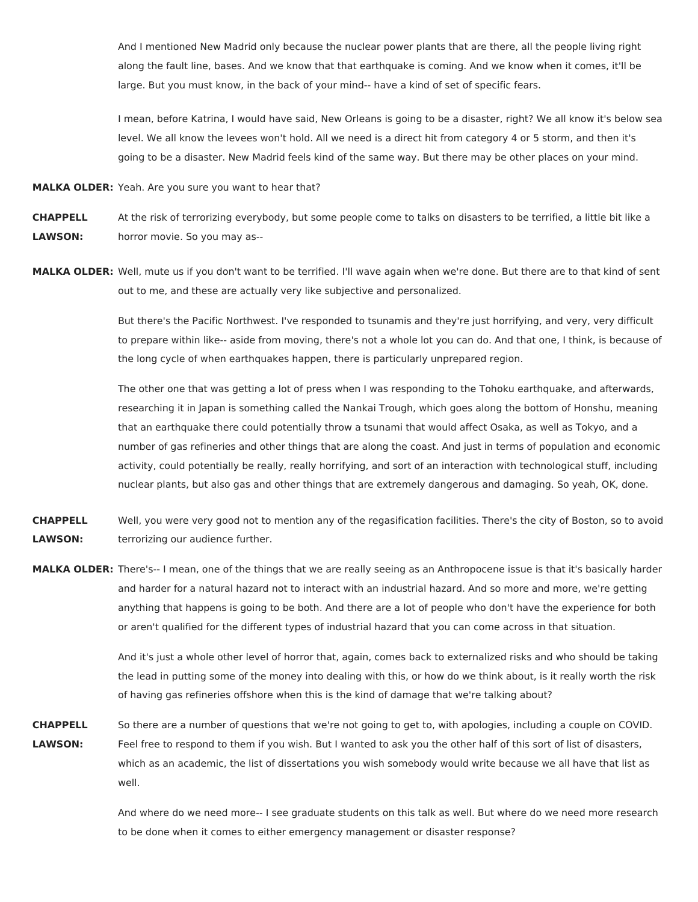And I mentioned New Madrid only because the nuclear power plants that are there, all the people living right along the fault line, bases. And we know that that earthquake is coming. And we know when it comes, it'll be large. But you must know, in the back of your mind-- have a kind of set of specific fears.

I mean, before Katrina, I would have said, New Orleans is going to be a disaster, right? We all know it's below sea level. We all know the levees won't hold. All we need is a direct hit from category 4 or 5 storm, and then it's going to be a disaster. New Madrid feels kind of the same way. But there may be other places on your mind.

**MALKA OLDER:** Yeah. Are you sure you want to hear that?

**CHAPPELL LAWSON:** At the risk of terrorizing everybody, but some people come to talks on disasters to be terrified, a little bit like a horror movie. So you may as--

**MALKA OLDER:** Well, mute us if you don't want to be terrified. I'll wave again when we're done. But there are to that kind of sent out to me, and these are actually very like subjective and personalized.

> But there's the Pacific Northwest. I've responded to tsunamis and they're just horrifying, and very, very difficult to prepare within like-- aside from moving, there's not a whole lot you can do. And that one, I think, is because of the long cycle of when earthquakes happen, there is particularly unprepared region.

> The other one that was getting a lot of press when I was responding to the Tohoku earthquake, and afterwards, researching it in Japan is something called the Nankai Trough, which goes along the bottom of Honshu, meaning that an earthquake there could potentially throw a tsunami that would affect Osaka, as well as Tokyo, and a number of gas refineries and other things that are along the coast. And just in terms of population and economic activity, could potentially be really, really horrifying, and sort of an interaction with technological stuff, including nuclear plants, but also gas and other things that are extremely dangerous and damaging. So yeah, OK, done.

**CHAPPELL LAWSON:** Well, you were very good not to mention any of the regasification facilities. There's the city of Boston, so to avoid terrorizing our audience further.

**MALKA OLDER:** There's-- I mean, one of the things that we are really seeing as an Anthropocene issue is that it's basically harder and harder for a natural hazard not to interact with an industrial hazard. And so more and more, we're getting anything that happens is going to be both. And there are a lot of people who don't have the experience for both or aren't qualified for the different types of industrial hazard that you can come across in that situation.

> And it's just a whole other level of horror that, again, comes back to externalized risks and who should be taking the lead in putting some of the money into dealing with this, or how do we think about, is it really worth the risk of having gas refineries offshore when this is the kind of damage that we're talking about?

**CHAPPELL LAWSON:** So there are a number of questions that we're not going to get to, with apologies, including a couple on COVID. Feel free to respond to them if you wish. But I wanted to ask you the other half of this sort of list of disasters, which as an academic, the list of dissertations you wish somebody would write because we all have that list as well.

> And where do we need more-- I see graduate students on this talk as well. But where do we need more research to be done when it comes to either emergency management or disaster response?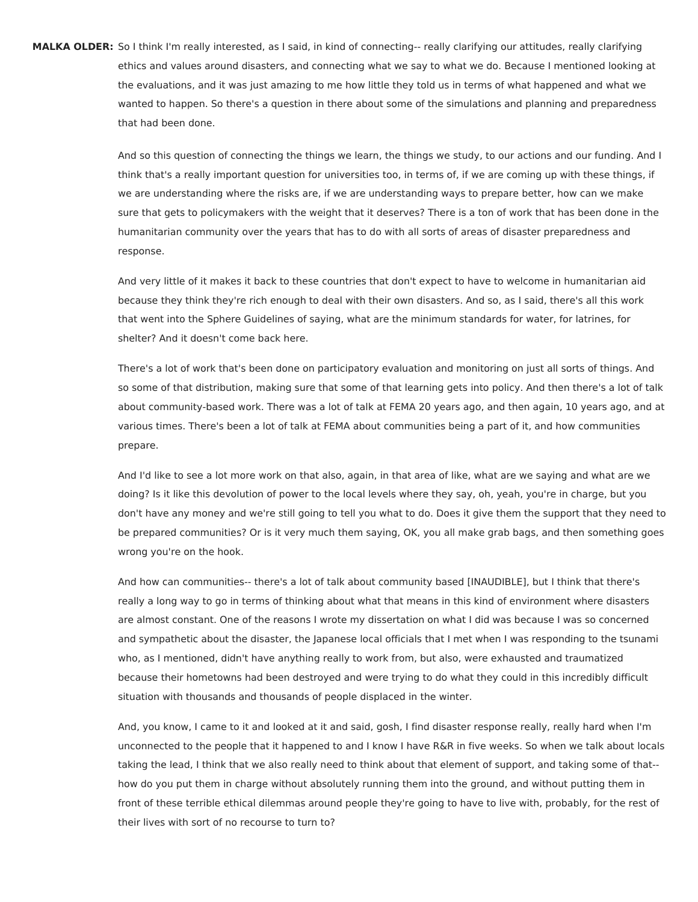**MALKA OLDER:** So I think I'm really interested, as I said, in kind of connecting-- really clarifying our attitudes, really clarifying ethics and values around disasters, and connecting what we say to what we do. Because I mentioned looking at the evaluations, and it was just amazing to me how little they told us in terms of what happened and what we wanted to happen. So there's a question in there about some of the simulations and planning and preparedness that had been done.

> And so this question of connecting the things we learn, the things we study, to our actions and our funding. And I think that's a really important question for universities too, in terms of, if we are coming up with these things, if we are understanding where the risks are, if we are understanding ways to prepare better, how can we make sure that gets to policymakers with the weight that it deserves? There is a ton of work that has been done in the humanitarian community over the years that has to do with all sorts of areas of disaster preparedness and response.

And very little of it makes it back to these countries that don't expect to have to welcome in humanitarian aid because they think they're rich enough to deal with their own disasters. And so, as I said, there's all this work that went into the Sphere Guidelines of saying, what are the minimum standards for water, for latrines, for shelter? And it doesn't come back here.

There's a lot of work that's been done on participatory evaluation and monitoring on just all sorts of things. And so some of that distribution, making sure that some of that learning gets into policy. And then there's a lot of talk about community-based work. There was a lot of talk at FEMA 20 years ago, and then again, 10 years ago, and at various times. There's been a lot of talk at FEMA about communities being a part of it, and how communities prepare.

And I'd like to see a lot more work on that also, again, in that area of like, what are we saying and what are we doing? Is it like this devolution of power to the local levels where they say, oh, yeah, you're in charge, but you don't have any money and we're still going to tell you what to do. Does it give them the support that they need to be prepared communities? Or is it very much them saying, OK, you all make grab bags, and then something goes wrong you're on the hook.

And how can communities-- there's a lot of talk about community based [INAUDIBLE], but I think that there's really a long way to go in terms of thinking about what that means in this kind of environment where disasters are almost constant. One of the reasons I wrote my dissertation on what I did was because I was so concerned and sympathetic about the disaster, the Japanese local officials that I met when I was responding to the tsunami who, as I mentioned, didn't have anything really to work from, but also, were exhausted and traumatized because their hometowns had been destroyed and were trying to do what they could in this incredibly difficult situation with thousands and thousands of people displaced in the winter.

And, you know, I came to it and looked at it and said, gosh, I find disaster response really, really hard when I'm unconnected to the people that it happened to and I know I have R&R in five weeks. So when we talk about locals taking the lead, I think that we also really need to think about that element of support, and taking some of that- how do you put them in charge without absolutely running them into the ground, and without putting them in front of these terrible ethical dilemmas around people they're going to have to live with, probably, for the rest of their lives with sort of no recourse to turn to?